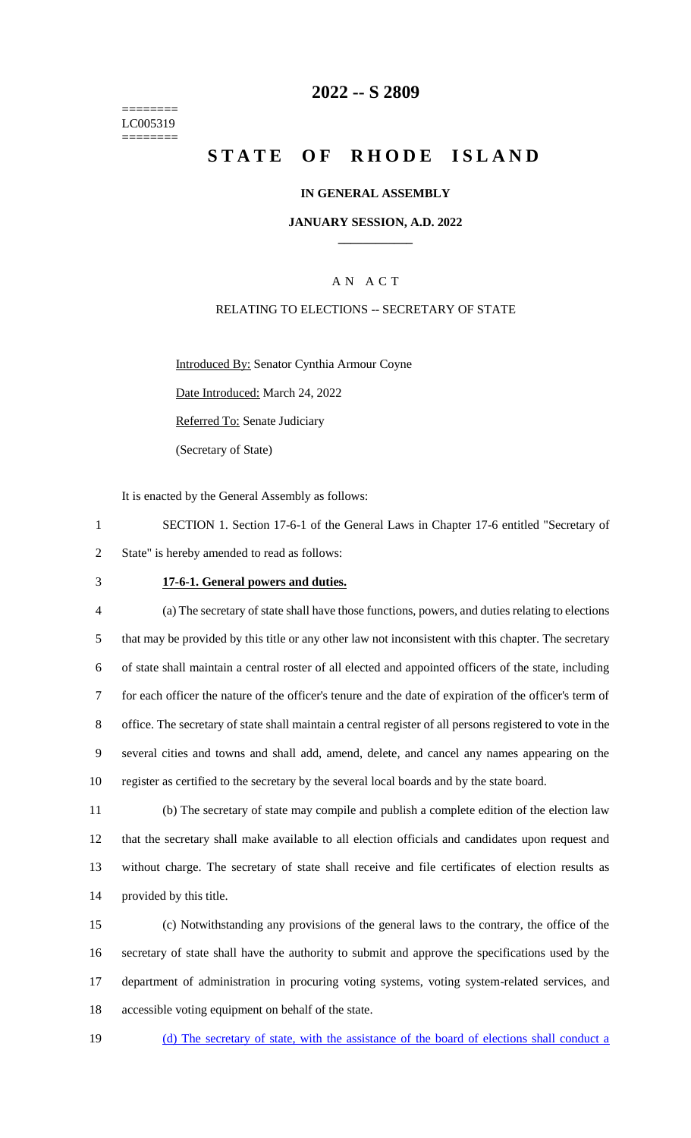======== LC005319 ========

# **2022 -- S 2809**

# **STATE OF RHODE ISLAND**

### **IN GENERAL ASSEMBLY**

### **JANUARY SESSION, A.D. 2022 \_\_\_\_\_\_\_\_\_\_\_\_**

# A N A C T

### RELATING TO ELECTIONS -- SECRETARY OF STATE

Introduced By: Senator Cynthia Armour Coyne

Date Introduced: March 24, 2022

Referred To: Senate Judiciary

(Secretary of State)

It is enacted by the General Assembly as follows:

1 SECTION 1. Section 17-6-1 of the General Laws in Chapter 17-6 entitled "Secretary of 2 State" is hereby amended to read as follows:

#### 3 **17-6-1. General powers and duties.**

 (a) The secretary of state shall have those functions, powers, and duties relating to elections that may be provided by this title or any other law not inconsistent with this chapter. The secretary of state shall maintain a central roster of all elected and appointed officers of the state, including for each officer the nature of the officer's tenure and the date of expiration of the officer's term of office. The secretary of state shall maintain a central register of all persons registered to vote in the several cities and towns and shall add, amend, delete, and cancel any names appearing on the register as certified to the secretary by the several local boards and by the state board.

 (b) The secretary of state may compile and publish a complete edition of the election law that the secretary shall make available to all election officials and candidates upon request and without charge. The secretary of state shall receive and file certificates of election results as provided by this title.

 (c) Notwithstanding any provisions of the general laws to the contrary, the office of the secretary of state shall have the authority to submit and approve the specifications used by the department of administration in procuring voting systems, voting system-related services, and accessible voting equipment on behalf of the state.

19 (d) The secretary of state, with the assistance of the board of elections shall conduct a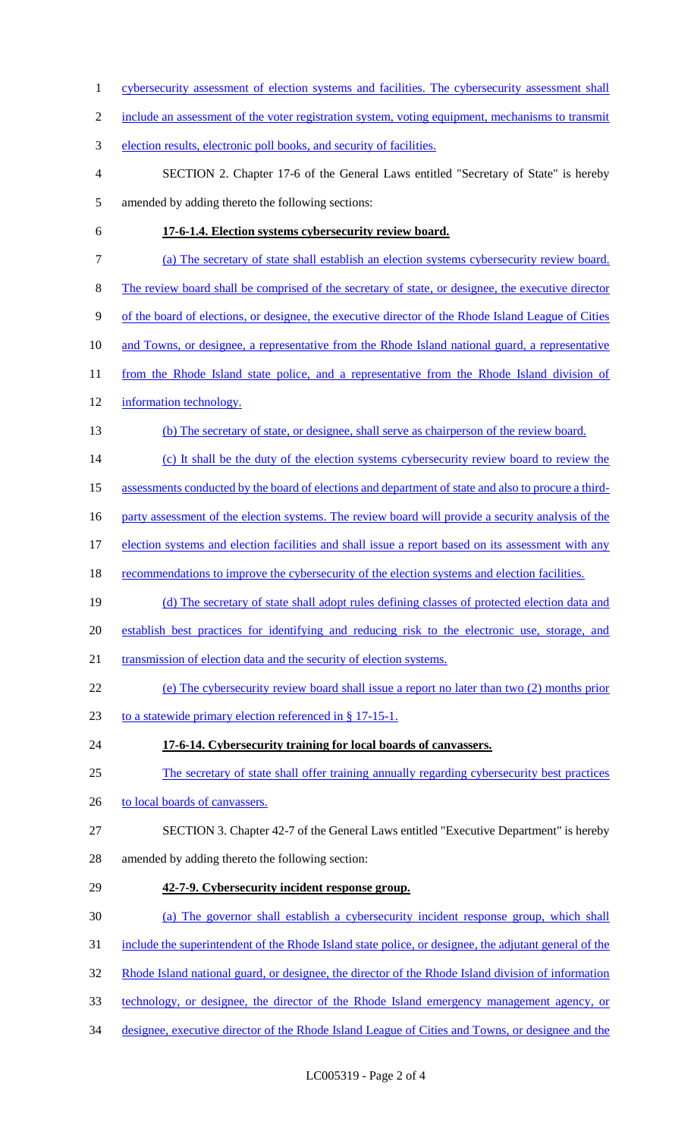cybersecurity assessment of election systems and facilities. The cybersecurity assessment shall 2 include an assessment of the voter registration system, voting equipment, mechanisms to transmit election results, electronic poll books, and security of facilities. SECTION 2. Chapter 17-6 of the General Laws entitled "Secretary of State" is hereby amended by adding thereto the following sections: **17-6-1.4. Election systems cybersecurity review board.**  (a) The secretary of state shall establish an election systems cybersecurity review board. The review board shall be comprised of the secretary of state, or designee, the executive director of the board of elections, or designee, the executive director of the Rhode Island League of Cities 10 and Towns, or designee, a representative from the Rhode Island national guard, a representative 11 from the Rhode Island state police, and a representative from the Rhode Island division of information technology. (b) The secretary of state, or designee, shall serve as chairperson of the review board. (c) It shall be the duty of the election systems cybersecurity review board to review the 15 assessments conducted by the board of elections and department of state and also to procure a third-16 party assessment of the election systems. The review board will provide a security analysis of the 17 election systems and election facilities and shall issue a report based on its assessment with any 18 recommendations to improve the cybersecurity of the election systems and election facilities. 19 (d) The secretary of state shall adopt rules defining classes of protected election data and establish best practices for identifying and reducing risk to the electronic use, storage, and 21 transmission of election data and the security of election systems. (e) The cybersecurity review board shall issue a report no later than two (2) months prior 23 to a statewide primary election referenced in § 17-15-1. **17-6-14. Cybersecurity training for local boards of canvassers.**  The secretary of state shall offer training annually regarding cybersecurity best practices 26 to local boards of canvassers. SECTION 3. Chapter 42-7 of the General Laws entitled "Executive Department" is hereby amended by adding thereto the following section: **42-7-9. Cybersecurity incident response group.**  (a) The governor shall establish a cybersecurity incident response group, which shall include the superintendent of the Rhode Island state police, or designee, the adjutant general of the Rhode Island national guard, or designee, the director of the Rhode Island division of information technology, or designee, the director of the Rhode Island emergency management agency, or designee, executive director of the Rhode Island League of Cities and Towns, or designee and the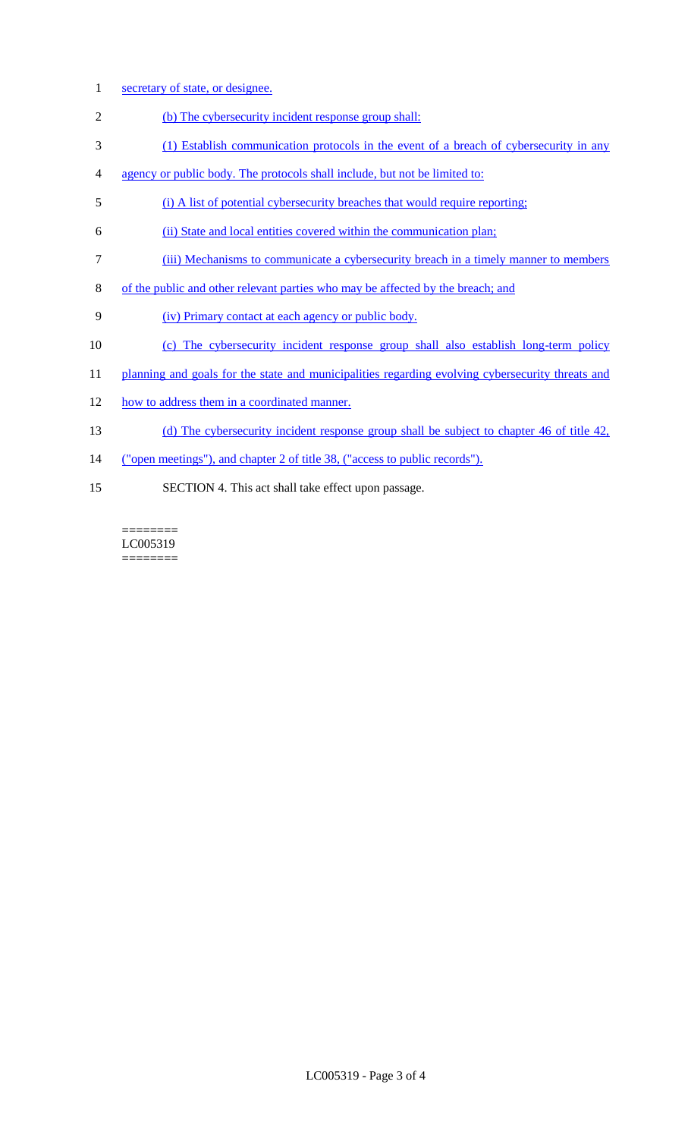- 1 secretary of state, or designee.
- 2 (b) The cybersecurity incident response group shall:
- 3 (1) Establish communication protocols in the event of a breach of cybersecurity in any
- 4 agency or public body. The protocols shall include, but not be limited to:
- 5 (i) A list of potential cybersecurity breaches that would require reporting;
- 6 (ii) State and local entities covered within the communication plan;
- 7 (iii) Mechanisms to communicate a cybersecurity breach in a timely manner to members
- 8 of the public and other relevant parties who may be affected by the breach; and
- 9 (iv) Primary contact at each agency or public body.
- 10 (c) The cybersecurity incident response group shall also establish long-term policy
- 11 planning and goals for the state and municipalities regarding evolving cybersecurity threats and
- 12 how to address them in a coordinated manner.
- 13 (d) The cybersecurity incident response group shall be subject to chapter 46 of title 42,
- 14 ("open meetings"), and chapter 2 of title 38, ("access to public records").
- 15 SECTION 4. This act shall take effect upon passage.

======== LC005319 ========